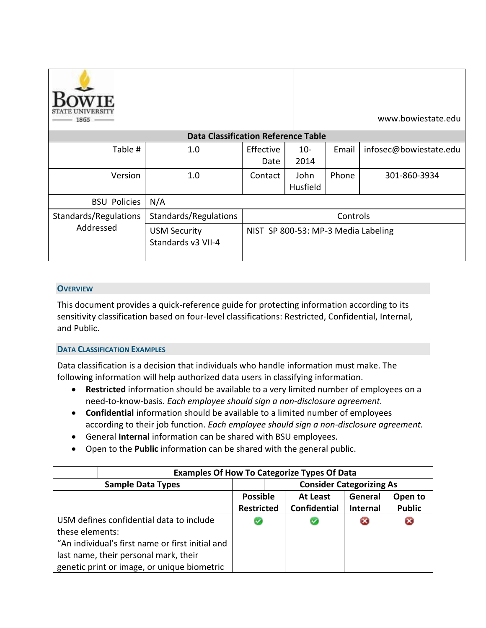| $1865$ —              |                                            |                                     |                  |       | www.bowiestate.edu     |
|-----------------------|--------------------------------------------|-------------------------------------|------------------|-------|------------------------|
|                       | <b>Data Classification Reference Table</b> |                                     |                  |       |                        |
| Table #               | 1.0                                        | Effective<br>Date                   | $10-$<br>2014    | Email | infosec@bowiestate.edu |
| Version               | 1.0                                        | Contact                             | John<br>Husfield | Phone | 301-860-3934           |
| <b>BSU Policies</b>   | N/A                                        |                                     |                  |       |                        |
| Standards/Regulations | Standards/Regulations                      | Controls                            |                  |       |                        |
| Addressed             | <b>USM Security</b><br>Standards v3 VII-4  | NIST SP 800-53: MP-3 Media Labeling |                  |       |                        |

### **OVERVIEW**

This document provides a quick-reference guide for protecting information according to its sensitivity classification based on four-level classifications: Restricted, Confidential, Internal, and Public.

### **DATA CLASSIFICATION EXAMPLES**

Data classification is a decision that individuals who handle information must make. The following information will help authorized data users in classifying information.

- **Restricted** information should be available to a very limited number of employees on a need-to-know-basis. *Each employee should sign a non-disclosure agreement.*
- **Confidential** information should be available to a limited number of employees according to their job function. *Each employee should sign a non-disclosure agreement.*
- General **Internal** information can be shared with BSU employees.
- Open to the **Public** information can be shared with the general public.

|                                                  | <b>Examples Of How To Categorize Types Of Data</b> |                                 |  |                     |                 |               |
|--------------------------------------------------|----------------------------------------------------|---------------------------------|--|---------------------|-----------------|---------------|
| <b>Sample Data Types</b>                         |                                                    | <b>Consider Categorizing As</b> |  |                     |                 |               |
|                                                  |                                                    | <b>Possible</b>                 |  | At Least            | General         | Open to       |
|                                                  |                                                    | <b>Restricted</b>               |  | <b>Confidential</b> | <b>Internal</b> | <b>Public</b> |
| USM defines confidential data to include         |                                                    | V                               |  |                     |                 | Œ             |
| these elements:                                  |                                                    |                                 |  |                     |                 |               |
| "An individual's first name or first initial and |                                                    |                                 |  |                     |                 |               |
| last name, their personal mark, their            |                                                    |                                 |  |                     |                 |               |
|                                                  | genetic print or image, or unique biometric        |                                 |  |                     |                 |               |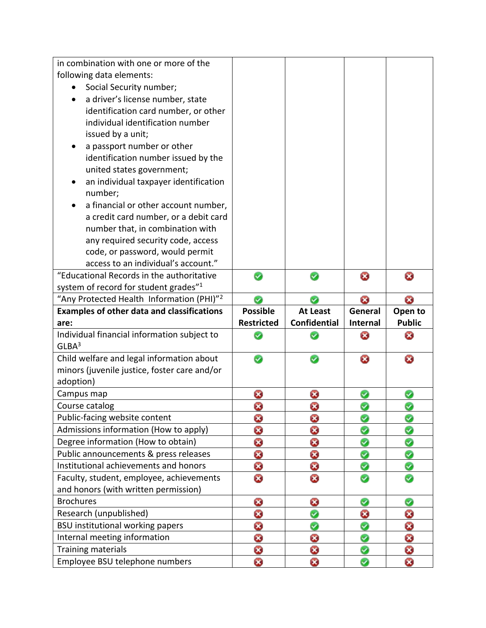| in combination with one or more of the               |                   |                     |          |               |
|------------------------------------------------------|-------------------|---------------------|----------|---------------|
| following data elements:                             |                   |                     |          |               |
| Social Security number;                              |                   |                     |          |               |
| a driver's license number, state                     |                   |                     |          |               |
| identification card number, or other                 |                   |                     |          |               |
| individual identification number                     |                   |                     |          |               |
| issued by a unit;                                    |                   |                     |          |               |
| a passport number or other                           |                   |                     |          |               |
| identification number issued by the                  |                   |                     |          |               |
| united states government;                            |                   |                     |          |               |
| an individual taxpayer identification                |                   |                     |          |               |
| number;                                              |                   |                     |          |               |
| a financial or other account number,                 |                   |                     |          |               |
| a credit card number, or a debit card                |                   |                     |          |               |
| number that, in combination with                     |                   |                     |          |               |
| any required security code, access                   |                   |                     |          |               |
| code, or password, would permit                      |                   |                     |          |               |
| access to an individual's account."                  |                   |                     |          |               |
| "Educational Records in the authoritative            | Ø                 |                     | ۵        | ධ             |
| system of record for student grades" <sup>1</sup>    |                   |                     |          |               |
| "Any Protected Health Information (PHI)"2            | Ø                 | U                   | O        | Ø             |
| <b>Examples of other data and classifications</b>    | <b>Possible</b>   | <b>At Least</b>     | General  | Open to       |
| are:                                                 | <b>Restricted</b> | <b>Confidential</b> | Internal | <b>Public</b> |
| Individual financial information subject to          |                   |                     |          |               |
|                                                      | Ø                 |                     | O        | ۵             |
| GLBA <sup>3</sup>                                    |                   |                     |          |               |
| Child welfare and legal information about            | Ø                 |                     | ස        | ධ             |
| minors (juvenile justice, foster care and/or         |                   |                     |          |               |
| adoption)                                            |                   |                     |          |               |
| Campus map                                           | ۵                 | ۵                   | Ø        | Ø             |
| Course catalog                                       | 0                 | 0                   |          | Ø             |
| Public-facing website content                        | O                 | O                   |          | Ø             |
| Admissions information (How to apply)                | 0                 | 0                   | Ø        | ❤             |
| Degree information (How to obtain)                   | 0                 | O                   | Ø        | Ø             |
| Public announcements & press releases                | Ø                 | 0                   | ❤        | ❤             |
| Institutional achievements and honors                | O                 | 0                   | ☺        | ♥             |
| Faculty, student, employee, achievements             | O                 | 0                   | ⊛        | ☺             |
| and honors (with written permission)                 |                   |                     |          |               |
| <b>Brochures</b>                                     | 0                 | O                   | ❤        | ❤             |
| Research (unpublished)                               | 0                 |                     | O        | 0             |
| BSU institutional working papers                     | 0                 | ◎                   | ❤        | Ø             |
| Internal meeting information                         | 0                 | Ø                   | ◎        | 0             |
| Training materials<br>Employee BSU telephone numbers | 0<br>0            | 0<br>0              | ❤<br>☺   | Ø<br>0        |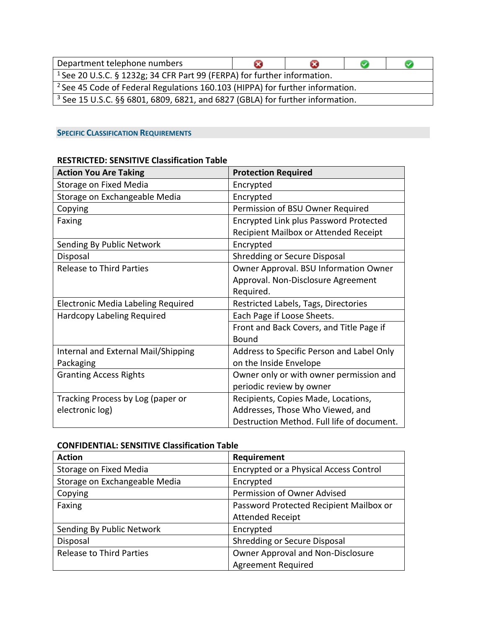| Department telephone numbers                                                             | œ |  |  |  |  |
|------------------------------------------------------------------------------------------|---|--|--|--|--|
| <sup>1</sup> See 20 U.S.C. § 1232g; 34 CFR Part 99 (FERPA) for further information.      |   |  |  |  |  |
| <sup>2</sup> See 45 Code of Federal Regulations 160.103 (HIPPA) for further information. |   |  |  |  |  |
| $3$ See 15 U.S.C. §§ 6801, 6809, 6821, and 6827 (GBLA) for further information.          |   |  |  |  |  |

# **SPECIFIC CLASSIFICATION REQUIREMENTS**

## **RESTRICTED: SENSITIVE Classification Table**

| <b>Action You Are Taking</b>        | <b>Protection Required</b>                 |
|-------------------------------------|--------------------------------------------|
| Storage on Fixed Media              | Encrypted                                  |
| Storage on Exchangeable Media       | Encrypted                                  |
| Copying                             | Permission of BSU Owner Required           |
| Faxing                              | Encrypted Link plus Password Protected     |
|                                     | Recipient Mailbox or Attended Receipt      |
| Sending By Public Network           | Encrypted                                  |
| Disposal                            | <b>Shredding or Secure Disposal</b>        |
| <b>Release to Third Parties</b>     | Owner Approval. BSU Information Owner      |
|                                     | Approval. Non-Disclosure Agreement         |
|                                     | Required.                                  |
| Electronic Media Labeling Required  | Restricted Labels, Tags, Directories       |
| <b>Hardcopy Labeling Required</b>   | Each Page if Loose Sheets.                 |
|                                     | Front and Back Covers, and Title Page if   |
|                                     | <b>Bound</b>                               |
| Internal and External Mail/Shipping | Address to Specific Person and Label Only  |
| Packaging                           | on the Inside Envelope                     |
| <b>Granting Access Rights</b>       | Owner only or with owner permission and    |
|                                     | periodic review by owner                   |
| Tracking Process by Log (paper or   | Recipients, Copies Made, Locations,        |
| electronic log)                     | Addresses, Those Who Viewed, and           |
|                                     | Destruction Method. Full life of document. |

#### **CONFIDENTIAL: SENSITIVE Classification Table**

| <b>Action</b>                   | Requirement                             |
|---------------------------------|-----------------------------------------|
| Storage on Fixed Media          | Encrypted or a Physical Access Control  |
| Storage on Exchangeable Media   | Encrypted                               |
| Copying                         | Permission of Owner Advised             |
| Faxing                          | Password Protected Recipient Mailbox or |
|                                 | <b>Attended Receipt</b>                 |
| Sending By Public Network       | Encrypted                               |
| Disposal                        | Shredding or Secure Disposal            |
| <b>Release to Third Parties</b> | Owner Approval and Non-Disclosure       |
|                                 | <b>Agreement Required</b>               |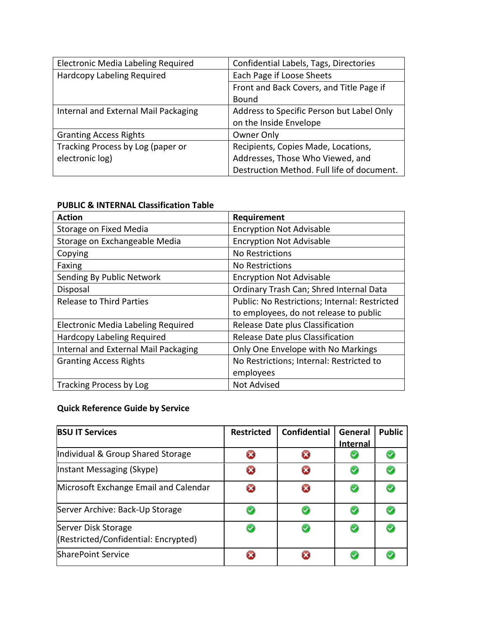| Electronic Media Labeling Required   | Confidential Labels, Tags, Directories     |
|--------------------------------------|--------------------------------------------|
| Hardcopy Labeling Required           | Each Page if Loose Sheets                  |
|                                      | Front and Back Covers, and Title Page if   |
|                                      | Bound                                      |
| Internal and External Mail Packaging | Address to Specific Person but Label Only  |
|                                      | on the Inside Envelope                     |
| <b>Granting Access Rights</b>        | Owner Only                                 |
| Tracking Process by Log (paper or    | Recipients, Copies Made, Locations,        |
| electronic log)                      | Addresses, Those Who Viewed, and           |
|                                      | Destruction Method. Full life of document. |

# **PUBLIC & INTERNAL Classification Table**

| <b>Action</b>                        | Requirement                                   |
|--------------------------------------|-----------------------------------------------|
| Storage on Fixed Media               | <b>Encryption Not Advisable</b>               |
| Storage on Exchangeable Media        | <b>Encryption Not Advisable</b>               |
| Copying                              | No Restrictions                               |
| Faxing                               | No Restrictions                               |
| Sending By Public Network            | <b>Encryption Not Advisable</b>               |
| Disposal                             | Ordinary Trash Can; Shred Internal Data       |
| <b>Release to Third Parties</b>      | Public: No Restrictions; Internal: Restricted |
|                                      | to employees, do not release to public        |
| Electronic Media Labeling Required   | Release Date plus Classification              |
| Hardcopy Labeling Required           | Release Date plus Classification              |
| Internal and External Mail Packaging | Only One Envelope with No Markings            |
| <b>Granting Access Rights</b>        | No Restrictions; Internal: Restricted to      |
|                                      | employees                                     |
| Tracking Process by Log              | Not Advised                                   |

# **Quick Reference Guide by Service**

| <b>BSU IT Services</b>                                      | <b>Restricted</b> | <b>Confidential</b> | General<br><b>Internal</b> | <b>Public</b> |
|-------------------------------------------------------------|-------------------|---------------------|----------------------------|---------------|
| Individual & Group Shared Storage                           |                   |                     |                            |               |
| Instant Messaging (Skype)                                   |                   |                     |                            |               |
| Microsoft Exchange Email and Calendar                       |                   |                     |                            |               |
| Server Archive: Back-Up Storage                             |                   |                     |                            |               |
| Server Disk Storage<br>(Restricted/Confidential: Encrypted) |                   |                     |                            |               |
| <b>SharePoint Service</b>                                   |                   |                     |                            |               |